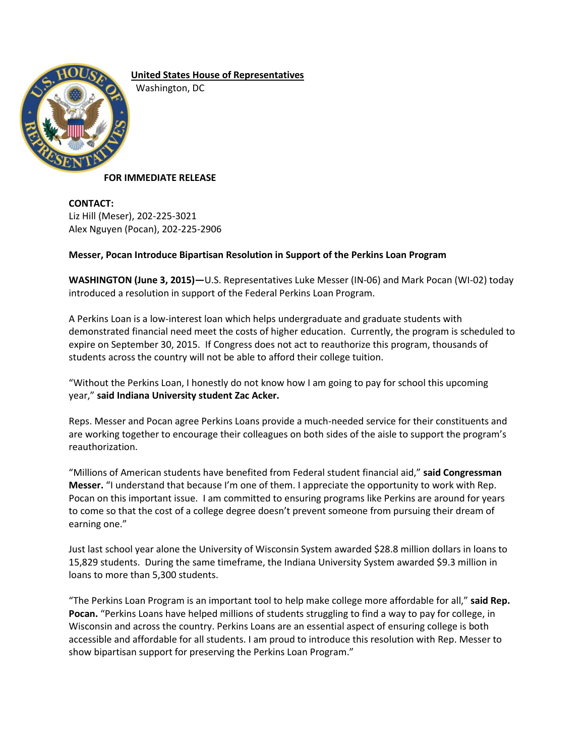

**United States House of Representatives** Washington, DC

## **FOR IMMEDIATE RELEASE**

**CONTACT:** Liz Hill (Meser), 202-225-3021 Alex Nguyen (Pocan), 202-225-2906

## **Messer, Pocan Introduce Bipartisan Resolution in Support of the Perkins Loan Program**

**WASHINGTON (June 3, 2015)—**U.S. Representatives Luke Messer (IN-06) and Mark Pocan (WI-02) today introduced a resolution in support of the Federal Perkins Loan Program.

A Perkins Loan is a low-interest loan which helps undergraduate and graduate students with demonstrated financial need meet the costs of higher education. Currently, the program is scheduled to expire on September 30, 2015. If Congress does not act to reauthorize this program, thousands of students across the country will not be able to afford their college tuition.

"Without the Perkins Loan, I honestly do not know how I am going to pay for school this upcoming year," **said Indiana University student Zac Acker.**

Reps. Messer and Pocan agree Perkins Loans provide a much-needed service for their constituents and are working together to encourage their colleagues on both sides of the aisle to support the program's reauthorization.

"Millions of American students have benefited from Federal student financial aid," **said Congressman Messer.** "I understand that because I'm one of them. I appreciate the opportunity to work with Rep. Pocan on this important issue. I am committed to ensuring programs like Perkins are around for years to come so that the cost of a college degree doesn't prevent someone from pursuing their dream of earning one."

Just last school year alone the University of Wisconsin System awarded \$28.8 million dollars in loans to 15,829 students. During the same timeframe, the Indiana University System awarded \$9.3 million in loans to more than 5,300 students.

"The Perkins Loan Program is an important tool to help make college more affordable for all," **said Rep. Pocan.** "Perkins Loans have helped millions of students struggling to find a way to pay for college, in Wisconsin and across the country. Perkins Loans are an essential aspect of ensuring college is both accessible and affordable for all students. I am proud to introduce this resolution with Rep. Messer to show bipartisan support for preserving the Perkins Loan Program."